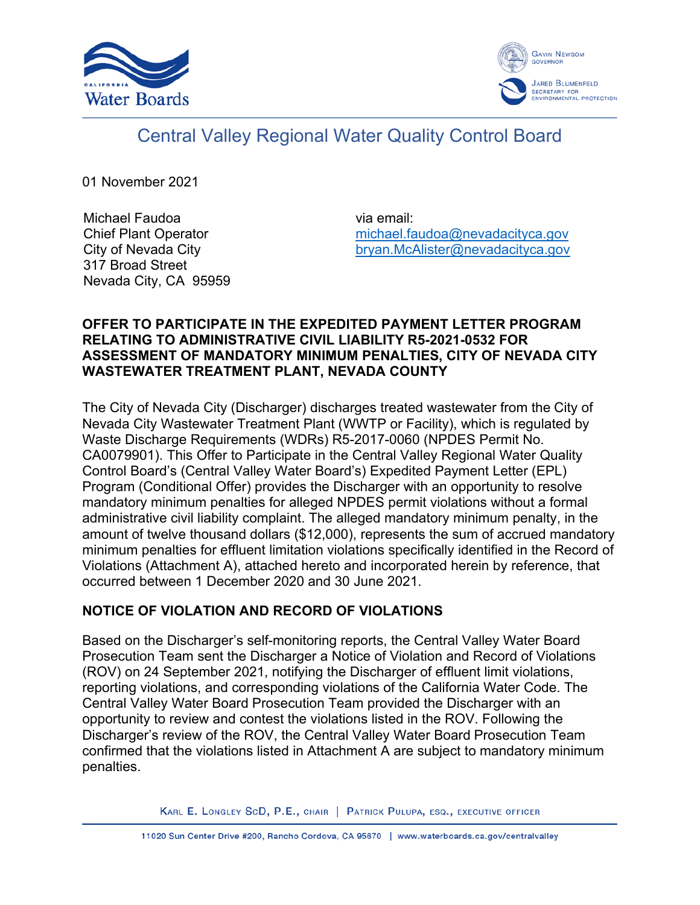



# Central Valley Regional Water Quality Control Board

01 November 2021

Michael Faudoa Chief Plant Operator City of Nevada City 317 Broad Street Nevada City, CA 95959 via email: [michael.faudoa@nevadacityca.gov](mailto:michael.faudoa@nevadacityca.gov) [bryan.McAlister@nevadacityca.gov](mailto:bryan.McAlister@nevadacityca.gov)

## **OFFER TO PARTICIPATE IN THE EXPEDITED PAYMENT LETTER PROGRAM RELATING TO ADMINISTRATIVE CIVIL LIABILITY R5-2021-0532 FOR ASSESSMENT OF MANDATORY MINIMUM PENALTIES, CITY OF NEVADA CITY WASTEWATER TREATMENT PLANT, NEVADA COUNTY**

The City of Nevada City (Discharger) discharges treated wastewater from the City of Nevada City Wastewater Treatment Plant (WWTP or Facility), which is regulated by Waste Discharge Requirements (WDRs) R5-2017-0060 (NPDES Permit No. CA0079901). This Offer to Participate in the Central Valley Regional Water Quality Control Board's (Central Valley Water Board's) Expedited Payment Letter (EPL) Program (Conditional Offer) provides the Discharger with an opportunity to resolve mandatory minimum penalties for alleged NPDES permit violations without a formal administrative civil liability complaint. The alleged mandatory minimum penalty, in the amount of twelve thousand dollars (\$12,000), represents the sum of accrued mandatory minimum penalties for effluent limitation violations specifically identified in the Record of Violations (Attachment A), attached hereto and incorporated herein by reference, that occurred between 1 December 2020 and 30 June 2021.

# **NOTICE OF VIOLATION AND RECORD OF VIOLATIONS**

Based on the Discharger's self-monitoring reports, the Central Valley Water Board Prosecution Team sent the Discharger a Notice of Violation and Record of Violations (ROV) on 24 September 2021, notifying the Discharger of effluent limit violations, reporting violations, and corresponding violations of the California Water Code. The Central Valley Water Board Prosecution Team provided the Discharger with an opportunity to review and contest the violations listed in the ROV. Following the Discharger's review of the ROV, the Central Valley Water Board Prosecution Team confirmed that the violations listed in Attachment A are subject to mandatory minimum penalties.

KARL E. LONGLEY SCD, P.E., CHAIR | PATRICK PULUPA, ESQ., EXECUTIVE OFFICER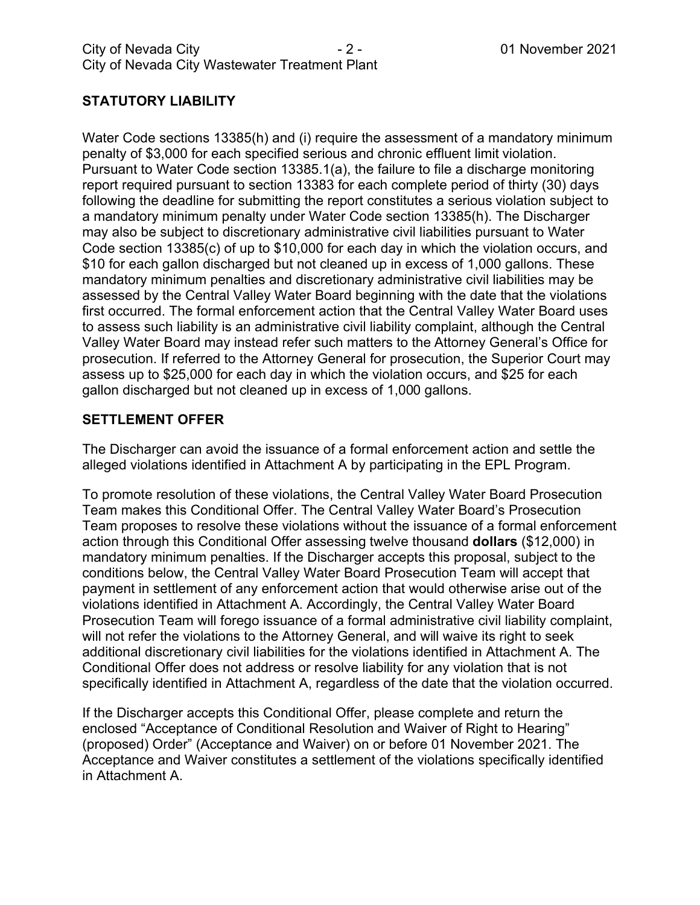# **STATUTORY LIABILITY**

Water Code sections 13385(h) and (i) require the assessment of a mandatory minimum penalty of \$3,000 for each specified serious and chronic effluent limit violation. Pursuant to Water Code section 13385.1(a), the failure to file a discharge monitoring report required pursuant to section 13383 for each complete period of thirty (30) days following the deadline for submitting the report constitutes a serious violation subject to a mandatory minimum penalty under Water Code section 13385(h). The Discharger may also be subject to discretionary administrative civil liabilities pursuant to Water Code section 13385(c) of up to \$10,000 for each day in which the violation occurs, and \$10 for each gallon discharged but not cleaned up in excess of 1,000 gallons. These mandatory minimum penalties and discretionary administrative civil liabilities may be assessed by the Central Valley Water Board beginning with the date that the violations first occurred. The formal enforcement action that the Central Valley Water Board uses to assess such liability is an administrative civil liability complaint, although the Central Valley Water Board may instead refer such matters to the Attorney General's Office for prosecution. If referred to the Attorney General for prosecution, the Superior Court may assess up to \$25,000 for each day in which the violation occurs, and \$25 for each gallon discharged but not cleaned up in excess of 1,000 gallons.

# **SETTLEMENT OFFER**

The Discharger can avoid the issuance of a formal enforcement action and settle the alleged violations identified in Attachment A by participating in the EPL Program.

To promote resolution of these violations, the Central Valley Water Board Prosecution Team makes this Conditional Offer. The Central Valley Water Board's Prosecution Team proposes to resolve these violations without the issuance of a formal enforcement action through this Conditional Offer assessing twelve thousand **dollars** (\$12,000) in mandatory minimum penalties. If the Discharger accepts this proposal, subject to the conditions below, the Central Valley Water Board Prosecution Team will accept that payment in settlement of any enforcement action that would otherwise arise out of the violations identified in Attachment A. Accordingly, the Central Valley Water Board Prosecution Team will forego issuance of a formal administrative civil liability complaint, will not refer the violations to the Attorney General, and will waive its right to seek additional discretionary civil liabilities for the violations identified in Attachment A. The Conditional Offer does not address or resolve liability for any violation that is not specifically identified in Attachment A, regardless of the date that the violation occurred.

If the Discharger accepts this Conditional Offer, please complete and return the enclosed "Acceptance of Conditional Resolution and Waiver of Right to Hearing" (proposed) Order" (Acceptance and Waiver) on or before 01 November 2021. The Acceptance and Waiver constitutes a settlement of the violations specifically identified in Attachment A.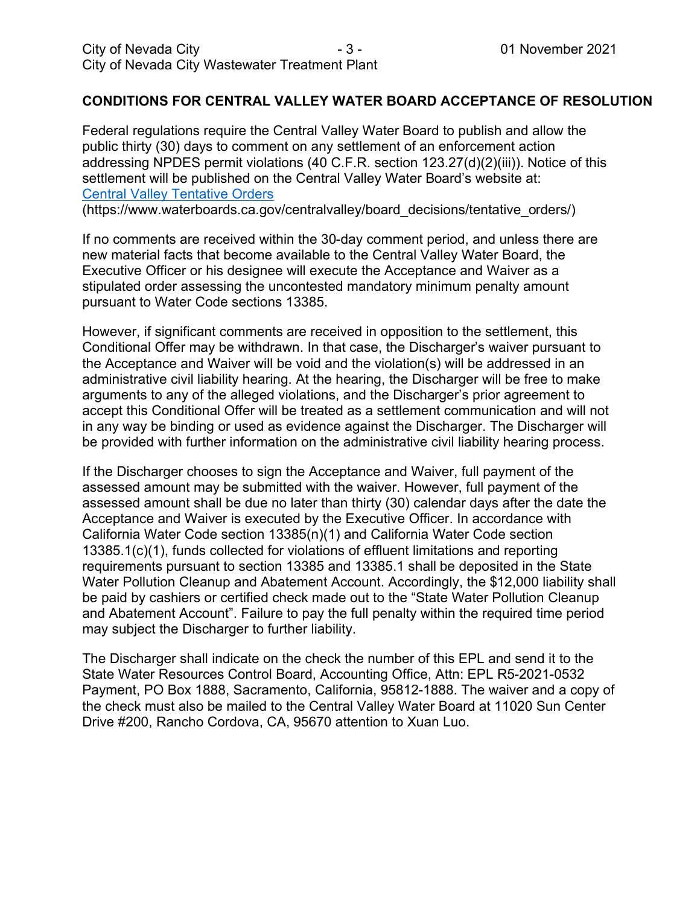## **CONDITIONS FOR CENTRAL VALLEY WATER BOARD ACCEPTANCE OF RESOLUTION**

Federal regulations require the Central Valley Water Board to publish and allow the public thirty (30) days to comment on any settlement of an enforcement action addressing NPDES permit violations (40 C.F.R. section 123.27(d)(2)(iii)). Notice of this settlement will be published on the Central Valley Water Board's website at: [Central Valley Tentative Orders](https://www.waterboards.ca.gov/centralvalley/board_decisions/tentative_orders/)

(https://www.waterboards.ca.gov/centralvalley/board\_decisions/tentative\_orders/)

If no comments are received within the 30-day comment period, and unless there are new material facts that become available to the Central Valley Water Board, the Executive Officer or his designee will execute the Acceptance and Waiver as a stipulated order assessing the uncontested mandatory minimum penalty amount pursuant to Water Code sections 13385.

However, if significant comments are received in opposition to the settlement, this Conditional Offer may be withdrawn. In that case, the Discharger's waiver pursuant to the Acceptance and Waiver will be void and the violation(s) will be addressed in an administrative civil liability hearing. At the hearing, the Discharger will be free to make arguments to any of the alleged violations, and the Discharger's prior agreement to accept this Conditional Offer will be treated as a settlement communication and will not in any way be binding or used as evidence against the Discharger. The Discharger will be provided with further information on the administrative civil liability hearing process.

If the Discharger chooses to sign the Acceptance and Waiver, full payment of the assessed amount may be submitted with the waiver. However, full payment of the assessed amount shall be due no later than thirty (30) calendar days after the date the Acceptance and Waiver is executed by the Executive Officer. In accordance with California Water Code section 13385(n)(1) and California Water Code section 13385.1(c)(1), funds collected for violations of effluent limitations and reporting requirements pursuant to section 13385 and 13385.1 shall be deposited in the State Water Pollution Cleanup and Abatement Account. Accordingly, the \$12,000 liability shall be paid by cashiers or certified check made out to the "State Water Pollution Cleanup and Abatement Account". Failure to pay the full penalty within the required time period may subject the Discharger to further liability.

The Discharger shall indicate on the check the number of this EPL and send it to the State Water Resources Control Board, Accounting Office, Attn: EPL R5-2021-0532 Payment, PO Box 1888, Sacramento, California, 95812-1888. The waiver and a copy of the check must also be mailed to the Central Valley Water Board at 11020 Sun Center Drive #200, Rancho Cordova, CA, 95670 attention to Xuan Luo.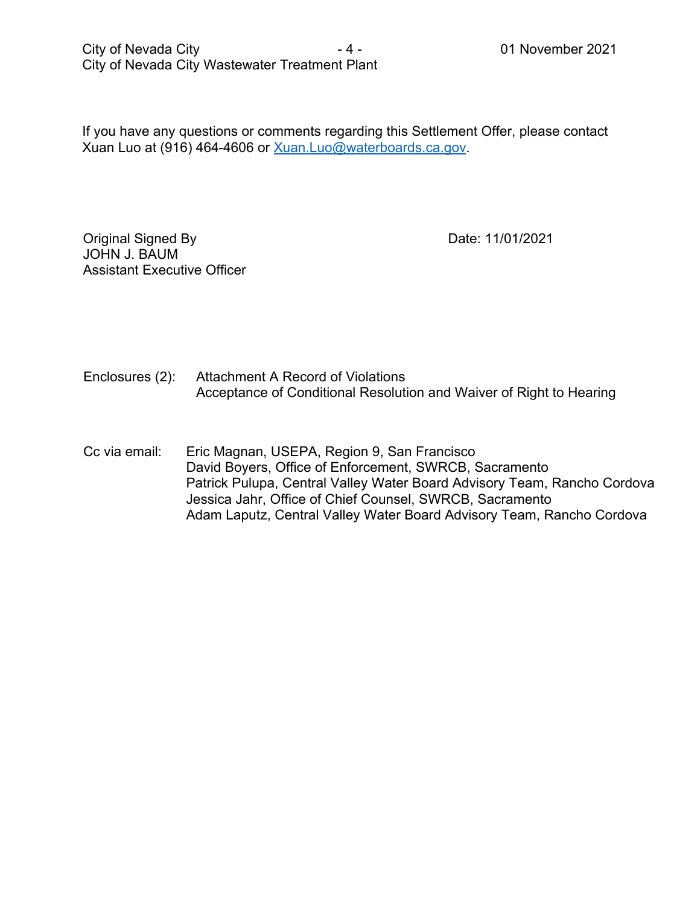If you have any questions or comments regarding this Settlement Offer, please contact Xuan Luo at (916) 464-4606 or [Xuan.Luo@waterboards.ca.gov.](mailto:Xuan.Luo@waterboards.ca.gov)

Original Signed By JOHN J. BAUM Assistant Executive Officer Date: 11/01/2021

Enclosures (2): Attachment A Record of Violations Acceptance of Conditional Resolution and Waiver of Right to Hearing

Cc via email: Eric Magnan, USEPA, Region 9, San Francisco David Boyers, Office of Enforcement, SWRCB, Sacramento Patrick Pulupa, Central Valley Water Board Advisory Team, Rancho Cordova Jessica Jahr, Office of Chief Counsel, SWRCB, Sacramento Adam Laputz, Central Valley Water Board Advisory Team, Rancho Cordova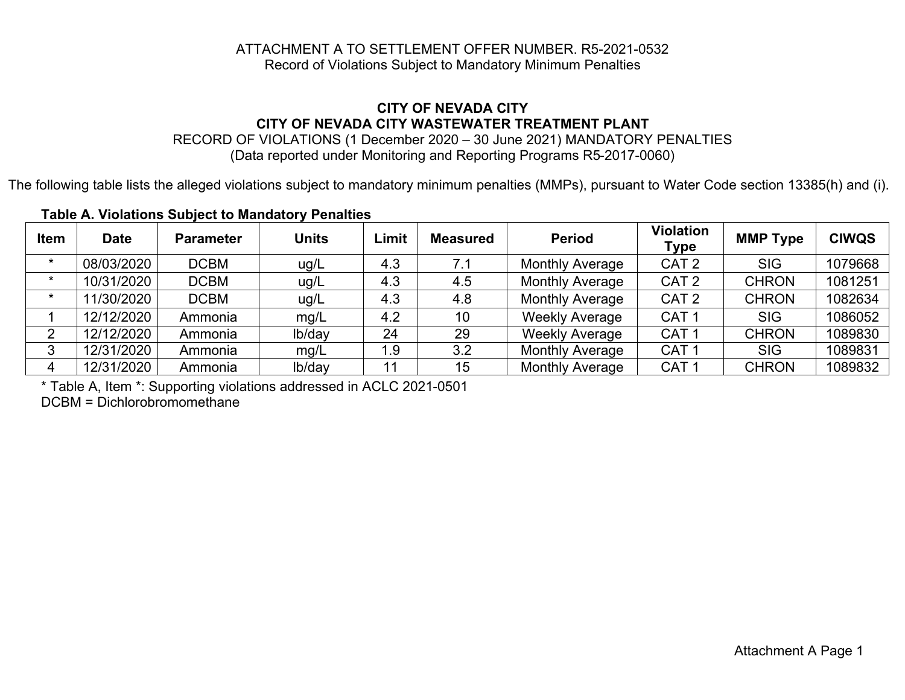#### ATTACHMENT A TO SETTLEMENT OFFER NUMBER. R5-2021-0532 Record of Violations Subject to Mandatory Minimum Penalties

#### **CITY OF NEVADA CITY CITY OF NEVADA CITY WASTEWATER TREATMENT PLANT**

RECORD OF VIOLATIONS (1 December 2020 – 30 June 2021) MANDATORY PENALTIES (Data reported under Monitoring and Reporting Programs R5-2017-0060)

The following table lists the alleged violations subject to mandatory minimum penalties (MMPs), pursuant to Water Code section 13385(h) and (i).

| <b>Item</b> | <b>Date</b> | <b>Parameter</b> | <b>Units</b> | Limit | <b>Measured</b> | <b>Period</b>          | Violation<br><b>Type</b> | <b>MMP Type</b> | <b>CIWQS</b> |
|-------------|-------------|------------------|--------------|-------|-----------------|------------------------|--------------------------|-----------------|--------------|
| $\star$     | 08/03/2020  | <b>DCBM</b>      | ug/L         | 4.3   | 7.1             | <b>Monthly Average</b> | CAT <sub>2</sub>         | <b>SIG</b>      | 1079668      |
| $\star$     | 10/31/2020  | <b>DCBM</b>      | ug/L         | 4.3   | 4.5             | <b>Monthly Average</b> | CAT <sub>2</sub>         | <b>CHRON</b>    | 1081251      |
| $\star$     | 11/30/2020  | <b>DCBM</b>      | ug/L         | 4.3   | 4.8             | <b>Monthly Average</b> | CAT <sub>2</sub>         | <b>CHRON</b>    | 1082634      |
|             | 12/12/2020  | Ammonia          | mg/L         | 4.2   | 10              | <b>Weekly Average</b>  | CAT <sub>1</sub>         | <b>SIG</b>      | 1086052      |
|             | 12/12/2020  | Ammonia          | lb/day       | 24    | 29              | <b>Weekly Average</b>  | CAT <sub>1</sub>         | <b>CHRON</b>    | 1089830      |
|             | 12/31/2020  | Ammonia          | mg/L         | 1.9   | 3.2             | <b>Monthly Average</b> | CAT <sub>1</sub>         | <b>SIG</b>      | 1089831      |
| 4           | 12/31/2020  | Ammonia          | lb/day       | 11    | 15              | <b>Monthly Average</b> | CAT <sup>-</sup>         | <b>CHRON</b>    | 1089832      |

## **Table A. Violations Subject to Mandatory Penalties**

\* Table A, Item \*: Supporting violations addressed in ACLC 2021-0501

DCBM = Dichlorobromomethane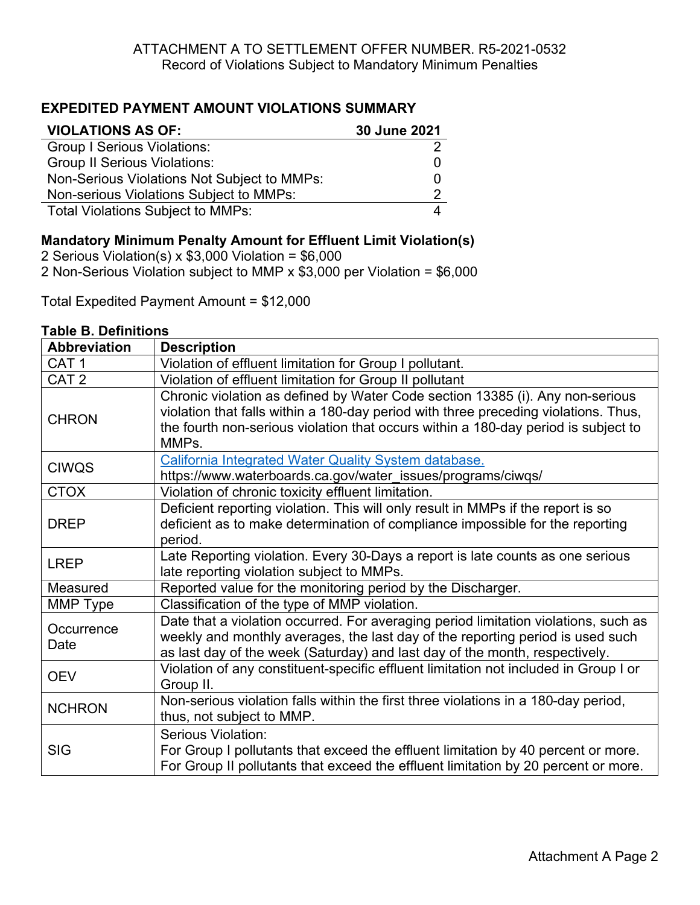# **EXPEDITED PAYMENT AMOUNT VIOLATIONS SUMMARY**

| <b>VIOLATIONS AS OF:</b>                    | 30 June 2021 |
|---------------------------------------------|--------------|
| <b>Group I Serious Violations:</b>          |              |
| <b>Group II Serious Violations:</b>         |              |
| Non-Serious Violations Not Subject to MMPs: |              |
| Non-serious Violations Subject to MMPs:     |              |
| <b>Total Violations Subject to MMPs:</b>    |              |

# **Mandatory Minimum Penalty Amount for Effluent Limit Violation(s)**

2 Serious Violation(s) x \$3,000 Violation = \$6,000 2 Non-Serious Violation subject to MMP x \$3,000 per Violation = \$6,000

Total Expedited Payment Amount = \$12,000

## **Table B. Definitions**

| <b>Abbreviation</b> | <b>Description</b>                                                                                                                                                                                                                                                  |
|---------------------|---------------------------------------------------------------------------------------------------------------------------------------------------------------------------------------------------------------------------------------------------------------------|
| CAT <sub>1</sub>    | Violation of effluent limitation for Group I pollutant.                                                                                                                                                                                                             |
| CAT <sub>2</sub>    | Violation of effluent limitation for Group II pollutant                                                                                                                                                                                                             |
| <b>CHRON</b>        | Chronic violation as defined by Water Code section 13385 (i). Any non-serious<br>violation that falls within a 180-day period with three preceding violations. Thus,<br>the fourth non-serious violation that occurs within a 180-day period is subject to<br>MMPs. |
| <b>CIWQS</b>        | California Integrated Water Quality System database.                                                                                                                                                                                                                |
|                     | https://www.waterboards.ca.gov/water_issues/programs/ciwqs/                                                                                                                                                                                                         |
| <b>CTOX</b>         | Violation of chronic toxicity effluent limitation.                                                                                                                                                                                                                  |
|                     | Deficient reporting violation. This will only result in MMPs if the report is so                                                                                                                                                                                    |
| <b>DREP</b>         | deficient as to make determination of compliance impossible for the reporting                                                                                                                                                                                       |
|                     | period.                                                                                                                                                                                                                                                             |
| <b>LREP</b>         | Late Reporting violation. Every 30-Days a report is late counts as one serious                                                                                                                                                                                      |
|                     | late reporting violation subject to MMPs.                                                                                                                                                                                                                           |
| Measured            | Reported value for the monitoring period by the Discharger.                                                                                                                                                                                                         |
| MMP Type            | Classification of the type of MMP violation.                                                                                                                                                                                                                        |
| Occurrence          | Date that a violation occurred. For averaging period limitation violations, such as                                                                                                                                                                                 |
| Date                | weekly and monthly averages, the last day of the reporting period is used such                                                                                                                                                                                      |
|                     | as last day of the week (Saturday) and last day of the month, respectively.                                                                                                                                                                                         |
| <b>OEV</b>          | Violation of any constituent-specific effluent limitation not included in Group I or                                                                                                                                                                                |
|                     | Group II.                                                                                                                                                                                                                                                           |
| <b>NCHRON</b>       | Non-serious violation falls within the first three violations in a 180-day period,                                                                                                                                                                                  |
|                     | thus, not subject to MMP.                                                                                                                                                                                                                                           |
|                     | Serious Violation:                                                                                                                                                                                                                                                  |
| <b>SIG</b>          | For Group I pollutants that exceed the effluent limitation by 40 percent or more.                                                                                                                                                                                   |
|                     | For Group II pollutants that exceed the effluent limitation by 20 percent or more.                                                                                                                                                                                  |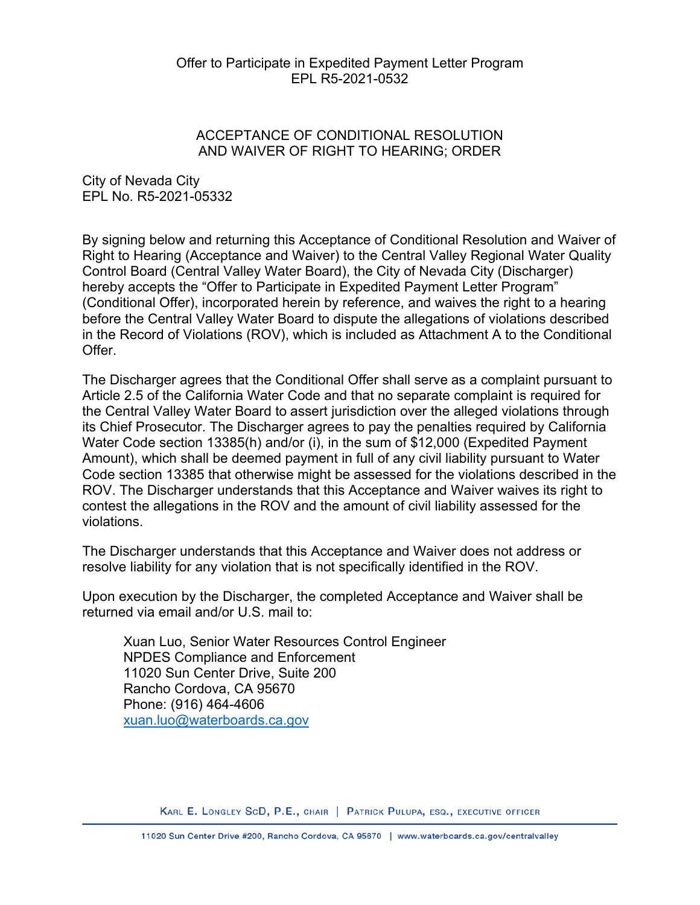## ACCEPTANCE OF CONDITIONAL RESOLUTION AND WAIVER OF RIGHT TO HEARING; ORDER

City of Nevada City EPL No. R5-2021-05332

By signing below and returning this Acceptance of Conditional Resolution and Waiver of Right to Hearing (Acceptance and Waiver) to the Central Valley Regional Water Quality Control Board (Central Valley Water Board), the City of Nevada City (Discharger) hereby accepts the "Offer to Participate in Expedited Payment Letter Program" (Conditional Offer), incorporated herein by reference, and waives the right to a hearing before the Central Valley Water Board to dispute the allegations of violations described in the Record of Violations (ROV), which is included as Attachment A to the Conditional Offer.

The Discharger agrees that the Conditional Offer shall serve as a complaint pursuant to Article 2.5 of the California Water Code and that no separate complaint is required for the Central Valley Water Board to assert jurisdiction over the alleged violations through its Chief Prosecutor. The Discharger agrees to pay the penalties required by California Water Code section 13385(h) and/or (i), in the sum of \$12,000 (Expedited Payment Amount), which shall be deemed payment in full of any civil liability pursuant to Water Code section 13385 that otherwise might be assessed for the violations described in the ROV. The Discharger understands that this Acceptance and Waiver waives its right to contest the allegations in the ROV and the amount of civil liability assessed for the violations.

The Discharger understands that this Acceptance and Waiver does not address or resolve liability for any violation that is not specifically identified in the ROV.

Upon execution by the Discharger, the completed Acceptance and Waiver shall be returned via email and/or U.S. mail to:

Xuan Luo, Senior Water Resources Control Engineer NPDES Compliance and Enforcement 11020 Sun Center Drive, Suite 200 Rancho Cordova, CA 95670 Phone: (916) 464-4606 [xuan.luo@waterboards.ca.gov](mailto:xuan.luo@waterboards.ca.gov)

KARL E. LONGLEY SCD, P.E., CHAIR | PATRICK PULUPA, ESQ., EXECUTIVE OFFICER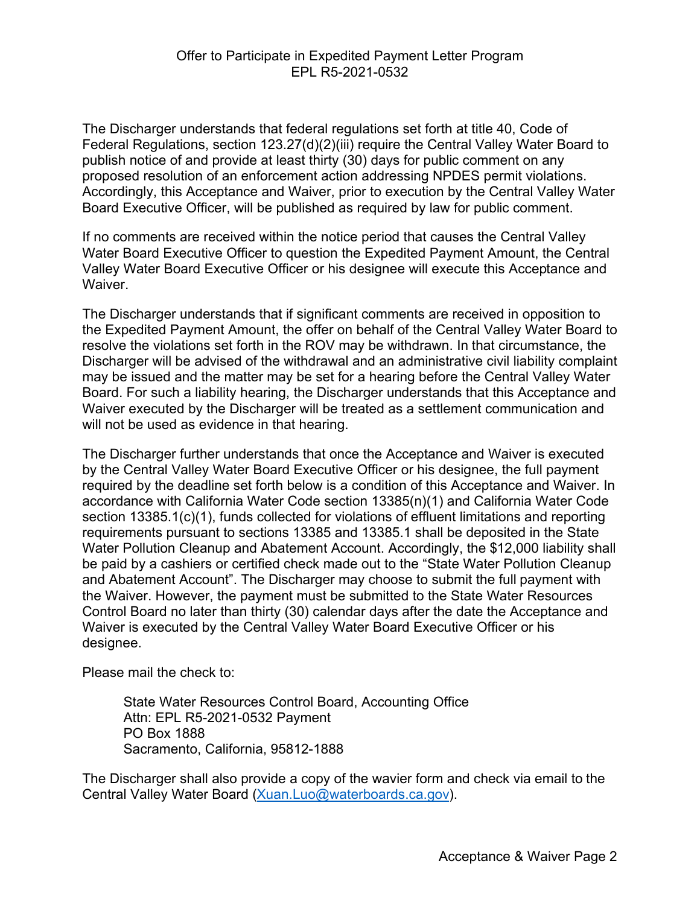The Discharger understands that federal regulations set forth at title 40, Code of Federal Regulations, section 123.27(d)(2)(iii) require the Central Valley Water Board to publish notice of and provide at least thirty (30) days for public comment on any proposed resolution of an enforcement action addressing NPDES permit violations. Accordingly, this Acceptance and Waiver, prior to execution by the Central Valley Water Board Executive Officer, will be published as required by law for public comment.

If no comments are received within the notice period that causes the Central Valley Water Board Executive Officer to question the Expedited Payment Amount, the Central Valley Water Board Executive Officer or his designee will execute this Acceptance and **Waiver** 

The Discharger understands that if significant comments are received in opposition to the Expedited Payment Amount, the offer on behalf of the Central Valley Water Board to resolve the violations set forth in the ROV may be withdrawn. In that circumstance, the Discharger will be advised of the withdrawal and an administrative civil liability complaint may be issued and the matter may be set for a hearing before the Central Valley Water Board. For such a liability hearing, the Discharger understands that this Acceptance and Waiver executed by the Discharger will be treated as a settlement communication and will not be used as evidence in that hearing.

The Discharger further understands that once the Acceptance and Waiver is executed by the Central Valley Water Board Executive Officer or his designee, the full payment required by the deadline set forth below is a condition of this Acceptance and Waiver. In accordance with California Water Code section 13385(n)(1) and California Water Code section 13385.1(c)(1), funds collected for violations of effluent limitations and reporting requirements pursuant to sections 13385 and 13385.1 shall be deposited in the State Water Pollution Cleanup and Abatement Account. Accordingly, the \$12,000 liability shall be paid by a cashiers or certified check made out to the "State Water Pollution Cleanup and Abatement Account". The Discharger may choose to submit the full payment with the Waiver. However, the payment must be submitted to the State Water Resources Control Board no later than thirty (30) calendar days after the date the Acceptance and Waiver is executed by the Central Valley Water Board Executive Officer or his designee.

Please mail the check to:

State Water Resources Control Board, Accounting Office Attn: EPL R5-2021-0532 Payment PO Box 1888 Sacramento, California, 95812-1888

The Discharger shall also provide a copy of the wavier form and check via email to the Central Valley Water Board ([Xuan.Luo@waterboards.ca.gov](mailto:Xuan.Luo@waterboards.ca.gov)).